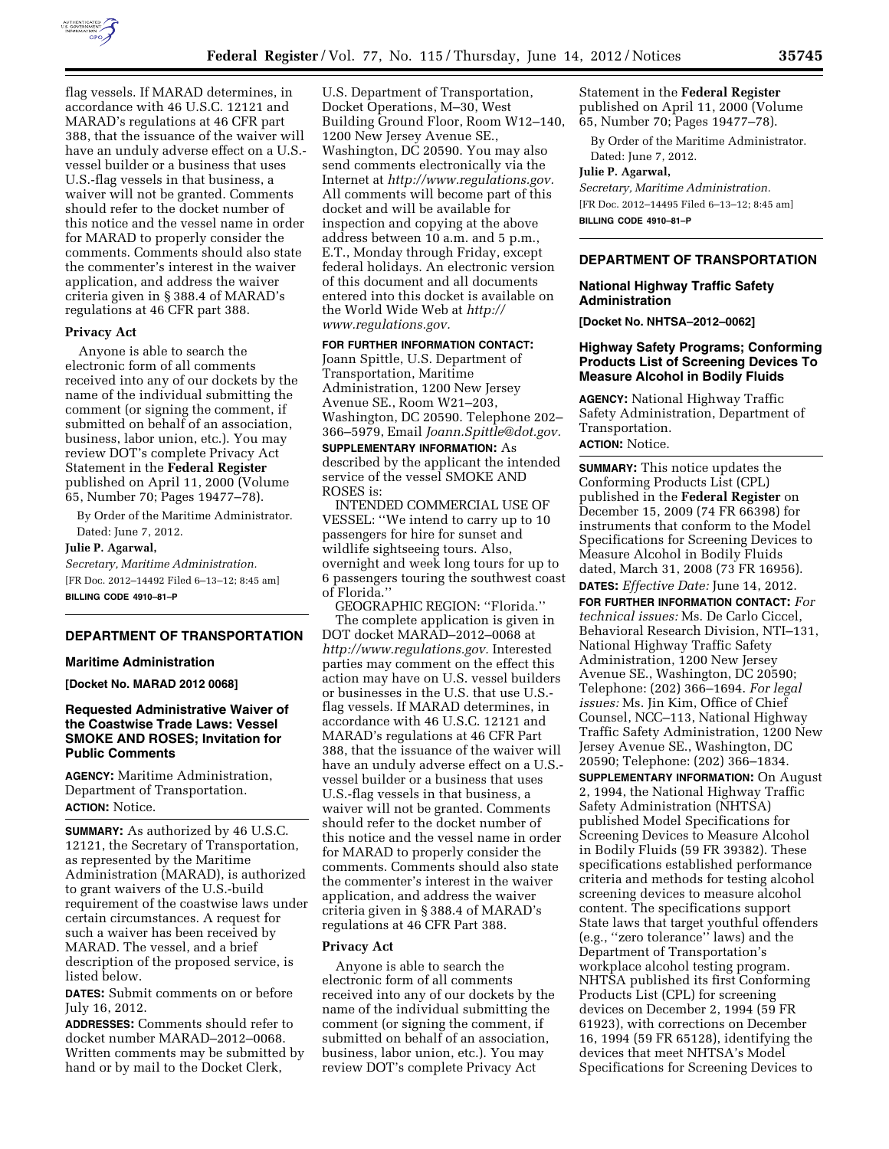

flag vessels. If MARAD determines, in accordance with 46 U.S.C. 12121 and MARAD's regulations at 46 CFR part 388, that the issuance of the waiver will have an unduly adverse effect on a U.S. vessel builder or a business that uses U.S.-flag vessels in that business, a waiver will not be granted. Comments should refer to the docket number of this notice and the vessel name in order for MARAD to properly consider the comments. Comments should also state the commenter's interest in the waiver application, and address the waiver criteria given in § 388.4 of MARAD's regulations at 46 CFR part 388.

## **Privacy Act**

Anyone is able to search the electronic form of all comments received into any of our dockets by the name of the individual submitting the comment (or signing the comment, if submitted on behalf of an association, business, labor union, etc.). You may review DOT's complete Privacy Act Statement in the **Federal Register**  published on April 11, 2000 (Volume 65, Number 70; Pages 19477–78).

By Order of the Maritime Administrator. Dated: June 7, 2012.

### **Julie P. Agarwal,**

*Secretary, Maritime Administration.*  [FR Doc. 2012–14492 Filed 6–13–12; 8:45 am] **BILLING CODE 4910–81–P** 

## **DEPARTMENT OF TRANSPORTATION**

#### **Maritime Administration**

**[Docket No. MARAD 2012 0068]** 

# **Requested Administrative Waiver of the Coastwise Trade Laws: Vessel SMOKE AND ROSES; Invitation for Public Comments**

**AGENCY:** Maritime Administration, Department of Transportation. **ACTION:** Notice.

**SUMMARY:** As authorized by 46 U.S.C. 12121, the Secretary of Transportation, as represented by the Maritime Administration (MARAD), is authorized to grant waivers of the U.S.-build requirement of the coastwise laws under certain circumstances. A request for such a waiver has been received by MARAD. The vessel, and a brief description of the proposed service, is listed below.

**DATES:** Submit comments on or before July 16, 2012.

**ADDRESSES:** Comments should refer to docket number MARAD–2012–0068. Written comments may be submitted by hand or by mail to the Docket Clerk,

U.S. Department of Transportation, Docket Operations, M–30, West Building Ground Floor, Room W12–140, 1200 New Jersey Avenue SE., Washington, DC 20590. You may also send comments electronically via the Internet at *[http://www.regulations.gov.](http://www.regulations.gov)*  All comments will become part of this docket and will be available for inspection and copying at the above address between 10 a.m. and 5 p.m., E.T., Monday through Friday, except federal holidays. An electronic version of this document and all documents entered into this docket is available on the World Wide Web at *[http://](http://www.regulations.gov)  [www.regulations.gov.](http://www.regulations.gov)* 

**FOR FURTHER INFORMATION CONTACT:** 

Joann Spittle, U.S. Department of Transportation, Maritime Administration, 1200 New Jersey Avenue SE., Room W21–203, Washington, DC 20590. Telephone 202– 366–5979, Email *[Joann.Spittle@dot.gov.](mailto:Joann.Spittle@dot.gov)* 

**SUPPLEMENTARY INFORMATION:** As described by the applicant the intended service of the vessel SMOKE AND ROSES is:

INTENDED COMMERCIAL USE OF VESSEL: ''We intend to carry up to 10 passengers for hire for sunset and wildlife sightseeing tours. Also, overnight and week long tours for up to 6 passengers touring the southwest coast of Florida.''

GEOGRAPHIC REGION: ''Florida.'' The complete application is given in DOT docket MARAD–2012–0068 at *[http://www.regulations.gov.](http://www.regulations.gov)* Interested parties may comment on the effect this action may have on U.S. vessel builders or businesses in the U.S. that use U.S. flag vessels. If MARAD determines, in accordance with 46 U.S.C. 12121 and MARAD's regulations at 46 CFR Part 388, that the issuance of the waiver will have an unduly adverse effect on a U.S. vessel builder or a business that uses U.S.-flag vessels in that business, a waiver will not be granted. Comments should refer to the docket number of this notice and the vessel name in order for MARAD to properly consider the comments. Comments should also state the commenter's interest in the waiver application, and address the waiver criteria given in § 388.4 of MARAD's regulations at 46 CFR Part 388.

# **Privacy Act**

Anyone is able to search the electronic form of all comments received into any of our dockets by the name of the individual submitting the comment (or signing the comment, if submitted on behalf of an association, business, labor union, etc.). You may review DOT's complete Privacy Act

Statement in the **Federal Register**  published on April 11, 2000 (Volume 65, Number 70; Pages 19477–78).

By Order of the Maritime Administrator. Dated: June 7, 2012.

#### **Julie P. Agarwal,**

*Secretary, Maritime Administration.*  [FR Doc. 2012–14495 Filed 6–13–12; 8:45 am] **BILLING CODE 4910–81–P** 

#### **DEPARTMENT OF TRANSPORTATION**

## **National Highway Traffic Safety Administration**

**[Docket No. NHTSA–2012–0062]** 

## **Highway Safety Programs; Conforming Products List of Screening Devices To Measure Alcohol in Bodily Fluids**

**AGENCY:** National Highway Traffic Safety Administration, Department of Transportation. **ACTION:** Notice.

**SUMMARY:** This notice updates the Conforming Products List (CPL) published in the **Federal Register** on December 15, 2009 (74 FR 66398) for instruments that conform to the Model Specifications for Screening Devices to Measure Alcohol in Bodily Fluids dated, March 31, 2008 (73 FR 16956).

**DATES:** *Effective Date:* June 14, 2012.

**FOR FURTHER INFORMATION CONTACT:** *For technical issues:* Ms. De Carlo Ciccel, Behavioral Research Division, NTI–131, National Highway Traffic Safety Administration, 1200 New Jersey Avenue SE., Washington, DC 20590; Telephone: (202) 366–1694. *For legal issues:* Ms. Jin Kim, Office of Chief Counsel, NCC–113, National Highway Traffic Safety Administration, 1200 New Jersey Avenue SE., Washington, DC 20590; Telephone: (202) 366–1834.

**SUPPLEMENTARY INFORMATION:** On August 2, 1994, the National Highway Traffic Safety Administration (NHTSA) published Model Specifications for Screening Devices to Measure Alcohol in Bodily Fluids (59 FR 39382). These specifications established performance criteria and methods for testing alcohol screening devices to measure alcohol content. The specifications support State laws that target youthful offenders (e.g., ''zero tolerance'' laws) and the Department of Transportation's workplace alcohol testing program. NHTSA published its first Conforming Products List (CPL) for screening devices on December 2, 1994 (59 FR 61923), with corrections on December 16, 1994 (59 FR 65128), identifying the devices that meet NHTSA's Model Specifications for Screening Devices to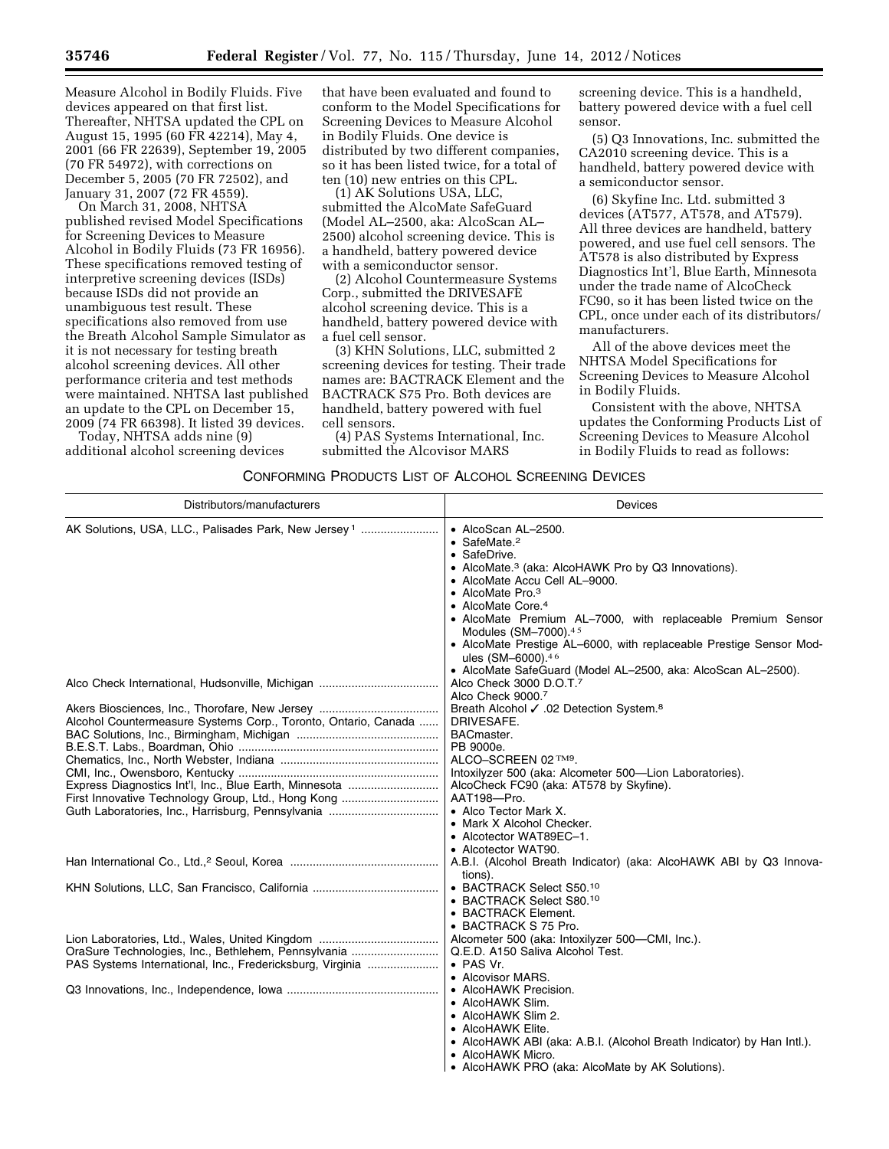Measure Alcohol in Bodily Fluids. Five devices appeared on that first list. Thereafter, NHTSA updated the CPL on August 15, 1995 (60 FR 42214), May 4, 2001 (66 FR 22639), September 19, 2005 (70 FR 54972), with corrections on December 5, 2005 (70 FR 72502), and January 31, 2007 (72 FR 4559).

On March 31, 2008, NHTSA published revised Model Specifications for Screening Devices to Measure Alcohol in Bodily Fluids (73 FR 16956). These specifications removed testing of interpretive screening devices (ISDs) because ISDs did not provide an unambiguous test result. These specifications also removed from use the Breath Alcohol Sample Simulator as it is not necessary for testing breath alcohol screening devices. All other performance criteria and test methods were maintained. NHTSA last published an update to the CPL on December 15, 2009 (74 FR 66398). It listed 39 devices.

Today, NHTSA adds nine (9) additional alcohol screening devices that have been evaluated and found to conform to the Model Specifications for Screening Devices to Measure Alcohol in Bodily Fluids. One device is distributed by two different companies, so it has been listed twice, for a total of ten (10) new entries on this CPL.

(1) AK Solutions USA, LLC, submitted the AlcoMate SafeGuard (Model AL–2500, aka: AlcoScan AL– 2500) alcohol screening device. This is a handheld, battery powered device with a semiconductor sensor.

(2) Alcohol Countermeasure Systems Corp., submitted the DRIVESAFE alcohol screening device. This is a handheld, battery powered device with a fuel cell sensor.

(3) KHN Solutions, LLC, submitted 2 screening devices for testing. Their trade names are: BACTRACK Element and the BACTRACK S75 Pro. Both devices are handheld, battery powered with fuel cell sensors.

(4) PAS Systems International, Inc. submitted the Alcovisor MARS

screening device. This is a handheld, battery powered device with a fuel cell sensor.

(5) Q3 Innovations, Inc. submitted the CA2010 screening device. This is a handheld, battery powered device with a semiconductor sensor.

(6) Skyfine Inc. Ltd. submitted 3 devices (AT577, AT578, and AT579). All three devices are handheld, battery powered, and use fuel cell sensors. The AT578 is also distributed by Express Diagnostics Int'l, Blue Earth, Minnesota under the trade name of AlcoCheck FC90, so it has been listed twice on the CPL, once under each of its distributors/ manufacturers.

All of the above devices meet the NHTSA Model Specifications for Screening Devices to Measure Alcohol in Bodily Fluids.

Consistent with the above, NHTSA updates the Conforming Products List of Screening Devices to Measure Alcohol in Bodily Fluids to read as follows:

| CONFORMING PRODUCTS LIST OF ALCOHOL SCREENING DEVICES |  |
|-------------------------------------------------------|--|
|-------------------------------------------------------|--|

| Distributors/manufacturers                                                                                   | Devices                                                                                                                                                                                                                                                                                                                                                                                                               |
|--------------------------------------------------------------------------------------------------------------|-----------------------------------------------------------------------------------------------------------------------------------------------------------------------------------------------------------------------------------------------------------------------------------------------------------------------------------------------------------------------------------------------------------------------|
| AK Solutions, USA, LLC., Palisades Park, New Jersey <sup>1</sup>                                             | • AlcoScan AL-2500.<br>$\bullet$ SafeMate. <sup>2</sup><br>• SafeDrive.<br>• AlcoMate. <sup>3</sup> (aka: AlcoHAWK Pro by Q3 Innovations).<br>• AlcoMate Accu Cell AL-9000.<br>• AlcoMate Pro. $3$<br>• AlcoMate Core. <sup>4</sup><br>• AlcoMate Premium AL-7000, with replaceable Premium Sensor<br>Modules (SM-7000).45<br>• AlcoMate Prestige AL-6000, with replaceable Prestige Sensor Mod-<br>ules (SM-6000).46 |
|                                                                                                              | • AlcoMate SafeGuard (Model AL-2500, aka: AlcoScan AL-2500).<br>Alco Check 3000 D.O.T. <sup>7</sup>                                                                                                                                                                                                                                                                                                                   |
| Alcohol Countermeasure Systems Corp., Toronto, Ontario, Canada                                               | Alco Check 9000.7<br>Breath Alcohol √ .02 Detection System. <sup>8</sup><br>DRIVESAFE.<br>BACmaster.                                                                                                                                                                                                                                                                                                                  |
|                                                                                                              | PB 9000e.                                                                                                                                                                                                                                                                                                                                                                                                             |
|                                                                                                              | ALCO-SCREEN 02 TM9.                                                                                                                                                                                                                                                                                                                                                                                                   |
|                                                                                                              | Intoxilyzer 500 (aka: Alcometer 500-Lion Laboratories).                                                                                                                                                                                                                                                                                                                                                               |
| Express Diagnostics Int'l, Inc., Blue Earth, Minnesota<br>First Innovative Technology Group, Ltd., Hong Kong | AlcoCheck FC90 (aka: AT578 by Skyfine).<br>AAT198-Pro.                                                                                                                                                                                                                                                                                                                                                                |
|                                                                                                              | • Alco Tector Mark X.                                                                                                                                                                                                                                                                                                                                                                                                 |
|                                                                                                              | • Mark X Alcohol Checker.                                                                                                                                                                                                                                                                                                                                                                                             |
|                                                                                                              | • Alcotector WAT89EC-1.                                                                                                                                                                                                                                                                                                                                                                                               |
|                                                                                                              | • Alcotector WAT90.                                                                                                                                                                                                                                                                                                                                                                                                   |
|                                                                                                              | A.B.I. (Alcohol Breath Indicator) (aka: AlcoHAWK ABI by Q3 Innova-<br>tions).                                                                                                                                                                                                                                                                                                                                         |
|                                                                                                              | • BACTRACK Select S50.10                                                                                                                                                                                                                                                                                                                                                                                              |
|                                                                                                              | • BACTRACK Select S80.10                                                                                                                                                                                                                                                                                                                                                                                              |
|                                                                                                              | • BACTRACK Element.                                                                                                                                                                                                                                                                                                                                                                                                   |
|                                                                                                              | • BACTRACK S 75 Pro.                                                                                                                                                                                                                                                                                                                                                                                                  |
|                                                                                                              | Alcometer 500 (aka: Intoxilyzer 500-CMI, Inc.).                                                                                                                                                                                                                                                                                                                                                                       |
| OraSure Technologies, Inc., Bethlehem, Pennsylvania                                                          | Q.E.D. A150 Saliva Alcohol Test.                                                                                                                                                                                                                                                                                                                                                                                      |
| PAS Systems International, Inc., Fredericksburg, Virginia                                                    | • PAS Vr.                                                                                                                                                                                                                                                                                                                                                                                                             |
|                                                                                                              | • Alcovisor MARS.                                                                                                                                                                                                                                                                                                                                                                                                     |
|                                                                                                              | • AlcoHAWK Precision.                                                                                                                                                                                                                                                                                                                                                                                                 |
|                                                                                                              | • AlcoHAWK Slim.                                                                                                                                                                                                                                                                                                                                                                                                      |
|                                                                                                              | • AlcoHAWK Slim 2.                                                                                                                                                                                                                                                                                                                                                                                                    |
|                                                                                                              | • AlcoHAWK Elite.                                                                                                                                                                                                                                                                                                                                                                                                     |
|                                                                                                              | • AlcoHAWK ABI (aka: A.B.I. (Alcohol Breath Indicator) by Han Intl.).<br>Alool LAMUZ Misso                                                                                                                                                                                                                                                                                                                            |
|                                                                                                              |                                                                                                                                                                                                                                                                                                                                                                                                                       |

AlcoHAWK Micro.

• AlcoHAWK PRO (aka: AlcoMate by AK Solutions).